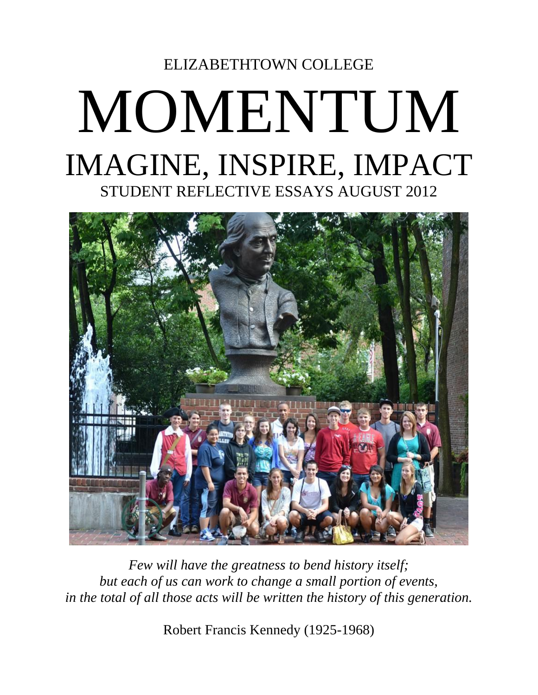# ELIZABETHTOWN COLLEGE MOMENTUM IMAGINE, INSPIRE, IMPACT STUDENT REFLECTIVE ESSAYS AUGUST 2012



*Few will have the greatness to bend history itself; but each of us can work to change a small portion of events, in the total of all those acts will be written the history of this generation.*

Robert Francis Kennedy (1925-1968)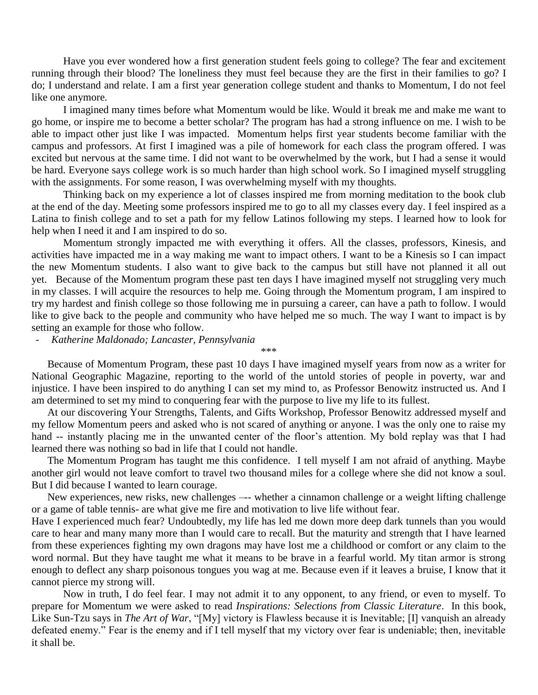Have you ever wondered how a first generation student feels going to college? The fear and excitement running through their blood? The loneliness they must feel because they are the first in their families to go? I do; I understand and relate. I am a first year generation college student and thanks to Momentum, I do not feel like one anymore.

I imagined many times before what Momentum would be like. Would it break me and make me want to go home, or inspire me to become a better scholar? The program has had a strong influence on me. I wish to be able to impact other just like I was impacted. Momentum helps first year students become familiar with the campus and professors. At first I imagined was a pile of homework for each class the program offered. I was excited but nervous at the same time. I did not want to be overwhelmed by the work, but I had a sense it would be hard. Everyone says college work is so much harder than high school work. So I imagined myself struggling with the assignments. For some reason, I was overwhelming myself with my thoughts.

Thinking back on my experience a lot of classes inspired me from morning meditation to the book club at the end of the day. Meeting some professors inspired me to go to all my classes every day. I feel inspired as a Latina to finish college and to set a path for my fellow Latinos following my steps. I learned how to look for help when I need it and I am inspired to do so.

Momentum strongly impacted me with everything it offers. All the classes, professors, Kinesis, and activities have impacted me in a way making me want to impact others. I want to be a Kinesis so I can impact the new Momentum students. I also want to give back to the campus but still have not planned it all out yet. Because of the Momentum program these past ten days I have imagined myself not struggling very much in my classes. I will acquire the resources to help me. Going through the Momentum program, I am inspired to try my hardest and finish college so those following me in pursuing a career, can have a path to follow. I would like to give back to the people and community who have helped me so much. The way I want to impact is by setting an example for those who follow.

- *Katherine Maldonado; Lancaster, Pennsylvania*

Because of Momentum Program, these past 10 days I have imagined myself years from now as a writer for National Geographic Magazine, reporting to the world of the untold stories of people in poverty, war and injustice. I have been inspired to do anything I can set my mind to, as Professor Benowitz instructed us. And I am determined to set my mind to conquering fear with the purpose to live my life to its fullest.

\*\*\*

At our discovering Your Strengths, Talents, and Gifts Workshop, Professor Benowitz addressed myself and my fellow Momentum peers and asked who is not scared of anything or anyone. I was the only one to raise my hand -- instantly placing me in the unwanted center of the floor's attention. My bold replay was that I had learned there was nothing so bad in life that I could not handle.

The Momentum Program has taught me this confidence. I tell myself I am not afraid of anything. Maybe another girl would not leave comfort to travel two thousand miles for a college where she did not know a soul. But I did because I wanted to learn courage.

New experiences, new risks, new challenges –-- whether a cinnamon challenge or a weight lifting challenge or a game of table tennis- are what give me fire and motivation to live life without fear.

Have I experienced much fear? Undoubtedly, my life has led me down more deep dark tunnels than you would care to hear and many many more than I would care to recall. But the maturity and strength that I have learned from these experiences fighting my own dragons may have lost me a childhood or comfort or any claim to the word normal. But they have taught me what it means to be brave in a fearful world. My titan armor is strong enough to deflect any sharp poisonous tongues you wag at me. Because even if it leaves a bruise, I know that it cannot pierce my strong will.

Now in truth, I do feel fear. I may not admit it to any opponent, to any friend, or even to myself. To prepare for Momentum we were asked to read *Inspirations: Selections from Classic Literature*. In this book, Like Sun-Tzu says in *The Art of War*, "[My] victory is Flawless because it is Inevitable; [I] vanquish an already defeated enemy." Fear is the enemy and if I tell myself that my victory over fear is undeniable; then, inevitable it shall be.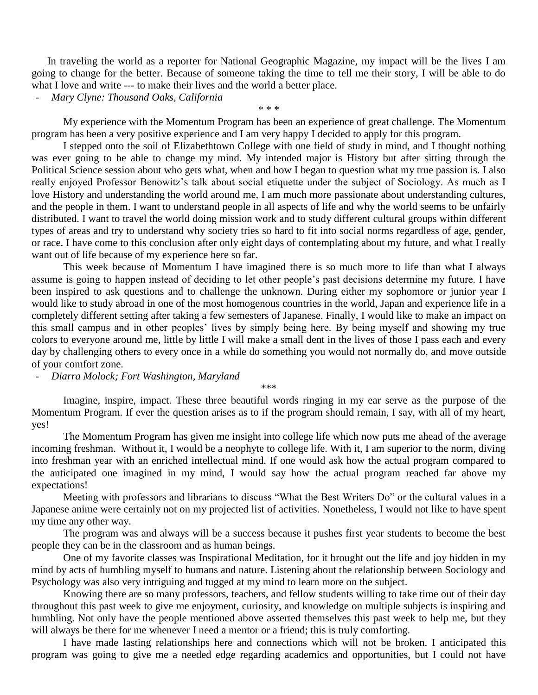In traveling the world as a reporter for National Geographic Magazine, my impact will be the lives I am going to change for the better. Because of someone taking the time to tell me their story, I will be able to do what I love and write --- to make their lives and the world a better place.

- *Mary Clyne: Thousand Oaks, California*

My experience with the Momentum Program has been an experience of great challenge. The Momentum program has been a very positive experience and I am very happy I decided to apply for this program.

\* \* \*

I stepped onto the soil of Elizabethtown College with one field of study in mind, and I thought nothing was ever going to be able to change my mind. My intended major is History but after sitting through the Political Science session about who gets what, when and how I began to question what my true passion is. I also really enjoyed Professor Benowitz's talk about social etiquette under the subject of Sociology. As much as I love History and understanding the world around me, I am much more passionate about understanding cultures, and the people in them. I want to understand people in all aspects of life and why the world seems to be unfairly distributed. I want to travel the world doing mission work and to study different cultural groups within different types of areas and try to understand why society tries so hard to fit into social norms regardless of age, gender, or race. I have come to this conclusion after only eight days of contemplating about my future, and what I really want out of life because of my experience here so far.

This week because of Momentum I have imagined there is so much more to life than what I always assume is going to happen instead of deciding to let other people's past decisions determine my future. I have been inspired to ask questions and to challenge the unknown. During either my sophomore or junior year I would like to study abroad in one of the most homogenous countries in the world, Japan and experience life in a completely different setting after taking a few semesters of Japanese. Finally, I would like to make an impact on this small campus and in other peoples' lives by simply being here. By being myself and showing my true colors to everyone around me, little by little I will make a small dent in the lives of those I pass each and every day by challenging others to every once in a while do something you would not normally do, and move outside of your comfort zone.

- *Diarra Molock; Fort Washington, Maryland*

\*\*\*

Imagine, inspire, impact. These three beautiful words ringing in my ear serve as the purpose of the Momentum Program. If ever the question arises as to if the program should remain, I say, with all of my heart, yes!

The Momentum Program has given me insight into college life which now puts me ahead of the average incoming freshman. Without it, I would be a neophyte to college life. With it, I am superior to the norm, diving into freshman year with an enriched intellectual mind. If one would ask how the actual program compared to the anticipated one imagined in my mind, I would say how the actual program reached far above my expectations!

Meeting with professors and librarians to discuss "What the Best Writers Do" or the cultural values in a Japanese anime were certainly not on my projected list of activities. Nonetheless, I would not like to have spent my time any other way.

The program was and always will be a success because it pushes first year students to become the best people they can be in the classroom and as human beings.

One of my favorite classes was Inspirational Meditation, for it brought out the life and joy hidden in my mind by acts of humbling myself to humans and nature. Listening about the relationship between Sociology and Psychology was also very intriguing and tugged at my mind to learn more on the subject.

Knowing there are so many professors, teachers, and fellow students willing to take time out of their day throughout this past week to give me enjoyment, curiosity, and knowledge on multiple subjects is inspiring and humbling. Not only have the people mentioned above asserted themselves this past week to help me, but they will always be there for me whenever I need a mentor or a friend; this is truly comforting.

I have made lasting relationships here and connections which will not be broken. I anticipated this program was going to give me a needed edge regarding academics and opportunities, but I could not have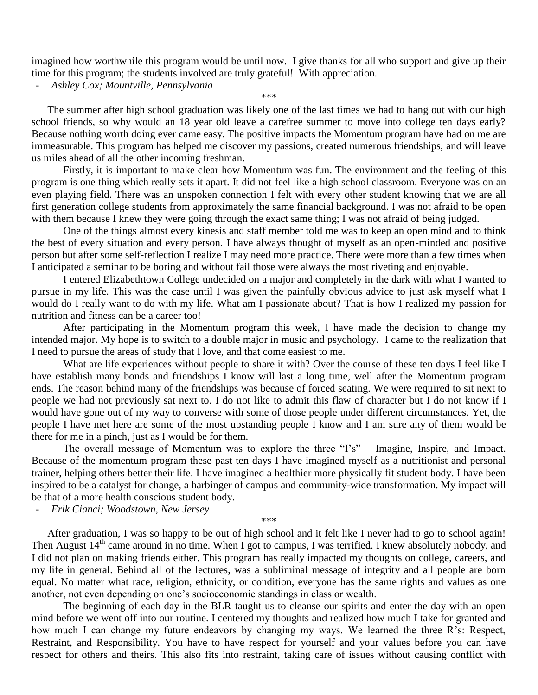imagined how worthwhile this program would be until now. I give thanks for all who support and give up their time for this program; the students involved are truly grateful! With appreciation.

- *Ashley Cox; Mountville, Pennsylvania*

\*\*\*

The summer after high school graduation was likely one of the last times we had to hang out with our high school friends, so why would an 18 year old leave a carefree summer to move into college ten days early? Because nothing worth doing ever came easy. The positive impacts the Momentum program have had on me are immeasurable. This program has helped me discover my passions, created numerous friendships, and will leave us miles ahead of all the other incoming freshman.

Firstly, it is important to make clear how Momentum was fun. The environment and the feeling of this program is one thing which really sets it apart. It did not feel like a high school classroom. Everyone was on an even playing field. There was an unspoken connection I felt with every other student knowing that we are all first generation college students from approximately the same financial background. I was not afraid to be open with them because I knew they were going through the exact same thing; I was not afraid of being judged.

One of the things almost every kinesis and staff member told me was to keep an open mind and to think the best of every situation and every person. I have always thought of myself as an open-minded and positive person but after some self-reflection I realize I may need more practice. There were more than a few times when I anticipated a seminar to be boring and without fail those were always the most riveting and enjoyable.

I entered Elizabethtown College undecided on a major and completely in the dark with what I wanted to pursue in my life. This was the case until I was given the painfully obvious advice to just ask myself what I would do I really want to do with my life. What am I passionate about? That is how I realized my passion for nutrition and fitness can be a career too!

After participating in the Momentum program this week, I have made the decision to change my intended major. My hope is to switch to a double major in music and psychology. I came to the realization that I need to pursue the areas of study that I love, and that come easiest to me.

What are life experiences without people to share it with? Over the course of these ten days I feel like I have establish many bonds and friendships I know will last a long time, well after the Momentum program ends. The reason behind many of the friendships was because of forced seating. We were required to sit next to people we had not previously sat next to. I do not like to admit this flaw of character but I do not know if I would have gone out of my way to converse with some of those people under different circumstances. Yet, the people I have met here are some of the most upstanding people I know and I am sure any of them would be there for me in a pinch, just as I would be for them.

The overall message of Momentum was to explore the three "I's" – Imagine, Inspire, and Impact. Because of the momentum program these past ten days I have imagined myself as a nutritionist and personal trainer, helping others better their life. I have imagined a healthier more physically fit student body. I have been inspired to be a catalyst for change, a harbinger of campus and community-wide transformation. My impact will be that of a more health conscious student body.

- *Erik Cianci; Woodstown, New Jersey*

\*\*\*

After graduation, I was so happy to be out of high school and it felt like I never had to go to school again! Then August 14<sup>th</sup> came around in no time. When I got to campus, I was terrified. I knew absolutely nobody, and I did not plan on making friends either. This program has really impacted my thoughts on college, careers, and my life in general. Behind all of the lectures, was a subliminal message of integrity and all people are born equal. No matter what race, religion, ethnicity, or condition, everyone has the same rights and values as one another, not even depending on one's socioeconomic standings in class or wealth.

The beginning of each day in the BLR taught us to cleanse our spirits and enter the day with an open mind before we went off into our routine. I centered my thoughts and realized how much I take for granted and how much I can change my future endeavors by changing my ways. We learned the three R's: Respect, Restraint, and Responsibility. You have to have respect for yourself and your values before you can have respect for others and theirs. This also fits into restraint, taking care of issues without causing conflict with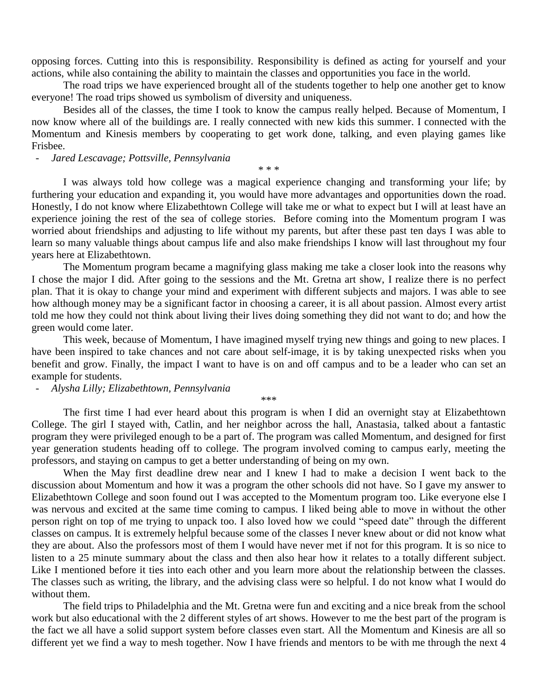opposing forces. Cutting into this is responsibility. Responsibility is defined as acting for yourself and your actions, while also containing the ability to maintain the classes and opportunities you face in the world.

The road trips we have experienced brought all of the students together to help one another get to know everyone! The road trips showed us symbolism of diversity and uniqueness.

Besides all of the classes, the time I took to know the campus really helped. Because of Momentum, I now know where all of the buildings are. I really connected with new kids this summer. I connected with the Momentum and Kinesis members by cooperating to get work done, talking, and even playing games like Frisbee.

#### - *Jared Lescavage; Pottsville, Pennsylvania*

\* \* \*

I was always told how college was a magical experience changing and transforming your life; by furthering your education and expanding it, you would have more advantages and opportunities down the road. Honestly, I do not know where Elizabethtown College will take me or what to expect but I will at least have an experience joining the rest of the sea of college stories. Before coming into the Momentum program I was worried about friendships and adjusting to life without my parents, but after these past ten days I was able to learn so many valuable things about campus life and also make friendships I know will last throughout my four years here at Elizabethtown.

The Momentum program became a magnifying glass making me take a closer look into the reasons why I chose the major I did. After going to the sessions and the Mt. Gretna art show, I realize there is no perfect plan. That it is okay to change your mind and experiment with different subjects and majors. I was able to see how although money may be a significant factor in choosing a career, it is all about passion. Almost every artist told me how they could not think about living their lives doing something they did not want to do; and how the green would come later.

This week, because of Momentum, I have imagined myself trying new things and going to new places. I have been inspired to take chances and not care about self-image, it is by taking unexpected risks when you benefit and grow. Finally, the impact I want to have is on and off campus and to be a leader who can set an example for students.

- *Alysha Lilly; Elizabethtown, Pennsylvania*

The first time I had ever heard about this program is when I did an overnight stay at Elizabethtown College. The girl I stayed with, Catlin, and her neighbor across the hall, Anastasia, talked about a fantastic program they were privileged enough to be a part of. The program was called Momentum, and designed for first year generation students heading off to college. The program involved coming to campus early, meeting the professors, and staying on campus to get a better understanding of being on my own.

\*\*\*

When the May first deadline drew near and I knew I had to make a decision I went back to the discussion about Momentum and how it was a program the other schools did not have. So I gave my answer to Elizabethtown College and soon found out I was accepted to the Momentum program too. Like everyone else I was nervous and excited at the same time coming to campus. I liked being able to move in without the other person right on top of me trying to unpack too. I also loved how we could "speed date" through the different classes on campus. It is extremely helpful because some of the classes I never knew about or did not know what they are about. Also the professors most of them I would have never met if not for this program. It is so nice to listen to a 25 minute summary about the class and then also hear how it relates to a totally different subject. Like I mentioned before it ties into each other and you learn more about the relationship between the classes. The classes such as writing, the library, and the advising class were so helpful. I do not know what I would do without them.

The field trips to Philadelphia and the Mt. Gretna were fun and exciting and a nice break from the school work but also educational with the 2 different styles of art shows. However to me the best part of the program is the fact we all have a solid support system before classes even start. All the Momentum and Kinesis are all so different yet we find a way to mesh together. Now I have friends and mentors to be with me through the next 4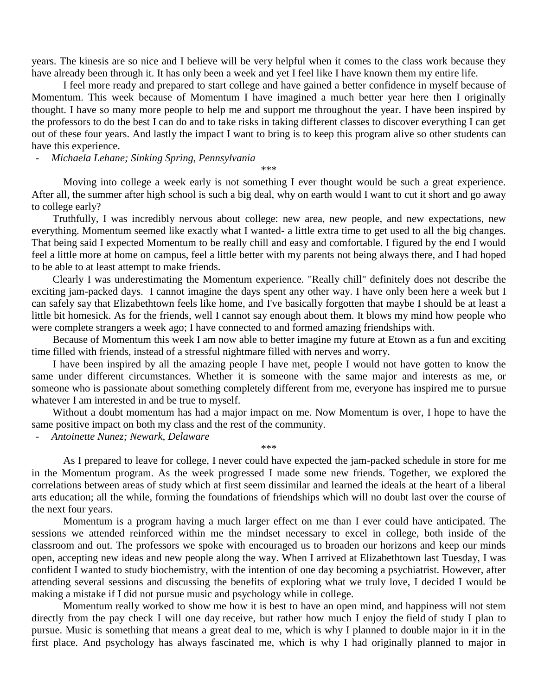years. The kinesis are so nice and I believe will be very helpful when it comes to the class work because they have already been through it. It has only been a week and yet I feel like I have known them my entire life.

I feel more ready and prepared to start college and have gained a better confidence in myself because of Momentum. This week because of Momentum I have imagined a much better year here then I originally thought. I have so many more people to help me and support me throughout the year. I have been inspired by the professors to do the best I can do and to take risks in taking different classes to discover everything I can get out of these four years. And lastly the impact I want to bring is to keep this program alive so other students can have this experience.

- *Michaela Lehane; Sinking Spring, Pennsylvania*

\*\*\*

Moving into college a week early is not something I ever thought would be such a great experience. After all, the summer after high school is such a big deal, why on earth would I want to cut it short and go away to college early?

 Truthfully, I was incredibly nervous about college: new area, new people, and new expectations, new everything. Momentum seemed like exactly what I wanted- a little extra time to get used to all the big changes. That being said I expected Momentum to be really chill and easy and comfortable. I figured by the end I would feel a little more at home on campus, feel a little better with my parents not being always there, and I had hoped to be able to at least attempt to make friends.

 Clearly I was underestimating the Momentum experience. "Really chill" definitely does not describe the exciting jam-packed days. I cannot imagine the days spent any other way. I have only been here a week but I can safely say that Elizabethtown feels like home, and I've basically forgotten that maybe I should be at least a little bit homesick. As for the friends, well I cannot say enough about them. It blows my mind how people who were complete strangers a week ago; I have connected to and formed amazing friendships with.

 Because of Momentum this week I am now able to better imagine my future at Etown as a fun and exciting time filled with friends, instead of a stressful nightmare filled with nerves and worry.

 I have been inspired by all the amazing people I have met, people I would not have gotten to know the same under different circumstances. Whether it is someone with the same major and interests as me, or someone who is passionate about something completely different from me, everyone has inspired me to pursue whatever I am interested in and be true to myself.

 Without a doubt momentum has had a major impact on me. Now Momentum is over, I hope to have the same positive impact on both my class and the rest of the community.

- *Antoinette Nunez; Newark, Delaware*

\*\*\*

As I prepared to leave for college, I never could have expected the jam-packed schedule in store for me in the Momentum program. As the week progressed I made some new friends. Together, we explored the correlations between areas of study which at first seem dissimilar and learned the ideals at the heart of a liberal arts education; all the while, forming the foundations of friendships which will no doubt last over the course of the next four years.

Momentum is a program having a much larger effect on me than I ever could have anticipated. The sessions we attended reinforced within me the mindset necessary to excel in college, both inside of the classroom and out. The professors we spoke with encouraged us to broaden our horizons and keep our minds open, accepting new ideas and new people along the way. When I arrived at Elizabethtown last Tuesday, I was confident I wanted to study biochemistry, with the intention of one day becoming a psychiatrist. However, after attending several sessions and discussing the benefits of exploring what we truly love, I decided I would be making a mistake if I did not pursue music and psychology while in college.

Momentum really worked to show me how it is best to have an open mind, and happiness will not stem directly from the pay check I will one day receive, but rather how much I enjoy the field of study I plan to pursue. Music is something that means a great deal to me, which is why I planned to double major in it in the first place. And psychology has always fascinated me, which is why I had originally planned to major in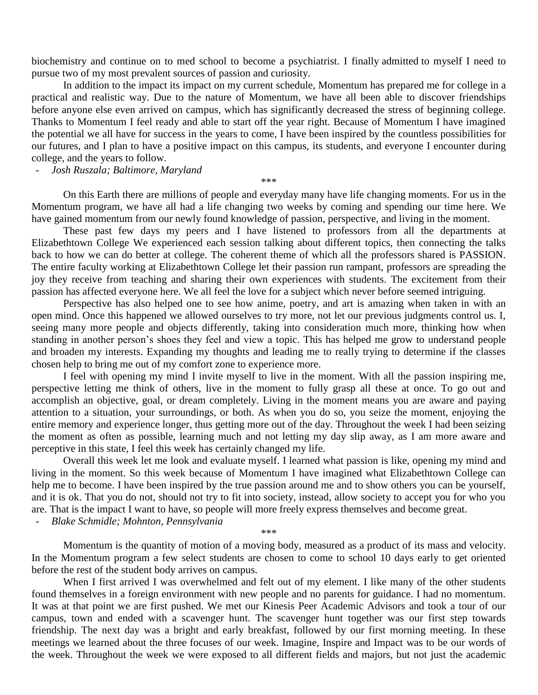biochemistry and continue on to med school to become a psychiatrist. I finally admitted to myself I need to pursue two of my most prevalent sources of passion and curiosity.

In addition to the impact its impact on my current schedule, Momentum has prepared me for college in a practical and realistic way. Due to the nature of Momentum, we have all been able to discover friendships before anyone else even arrived on campus, which has significantly decreased the stress of beginning college. Thanks to Momentum I feel ready and able to start off the year right. Because of Momentum I have imagined the potential we all have for success in the years to come, I have been inspired by the countless possibilities for our futures, and I plan to have a positive impact on this campus, its students, and everyone I encounter during college, and the years to follow.

- *Josh Ruszala; Baltimore, Maryland*

\*\*\*

On this Earth there are millions of people and everyday many have life changing moments. For us in the Momentum program, we have all had a life changing two weeks by coming and spending our time here. We have gained momentum from our newly found knowledge of passion, perspective, and living in the moment.

These past few days my peers and I have listened to professors from all the departments at Elizabethtown College We experienced each session talking about different topics, then connecting the talks back to how we can do better at college. The coherent theme of which all the professors shared is PASSION. The entire faculty working at Elizabethtown College let their passion run rampant, professors are spreading the joy they receive from teaching and sharing their own experiences with students. The excitement from their passion has affected everyone here. We all feel the love for a subject which never before seemed intriguing.

Perspective has also helped one to see how anime, poetry, and art is amazing when taken in with an open mind. Once this happened we allowed ourselves to try more, not let our previous judgments control us. I, seeing many more people and objects differently, taking into consideration much more, thinking how when standing in another person's shoes they feel and view a topic. This has helped me grow to understand people and broaden my interests. Expanding my thoughts and leading me to really trying to determine if the classes chosen help to bring me out of my comfort zone to experience more.

I feel with opening my mind I invite myself to live in the moment. With all the passion inspiring me, perspective letting me think of others, live in the moment to fully grasp all these at once. To go out and accomplish an objective, goal, or dream completely. Living in the moment means you are aware and paying attention to a situation, your surroundings, or both. As when you do so, you seize the moment, enjoying the entire memory and experience longer, thus getting more out of the day. Throughout the week I had been seizing the moment as often as possible, learning much and not letting my day slip away, as I am more aware and perceptive in this state, I feel this week has certainly changed my life.

Overall this week let me look and evaluate myself. I learned what passion is like, opening my mind and living in the moment. So this week because of Momentum I have imagined what Elizabethtown College can help me to become. I have been inspired by the true passion around me and to show others you can be yourself, and it is ok. That you do not, should not try to fit into society, instead, allow society to accept you for who you are. That is the impact I want to have, so people will more freely express themselves and become great.

- *Blake Schmidle; Mohnton, Pennsylvania*

\*\*\*

Momentum is the quantity of motion of a moving body, measured as a product of its mass and velocity. In the Momentum program a few select students are chosen to come to school 10 days early to get oriented before the rest of the student body arrives on campus.

When I first arrived I was overwhelmed and felt out of my element. I like many of the other students found themselves in a foreign environment with new people and no parents for guidance. I had no momentum. It was at that point we are first pushed. We met our Kinesis Peer Academic Advisors and took a tour of our campus, town and ended with a scavenger hunt. The scavenger hunt together was our first step towards friendship. The next day was a bright and early breakfast, followed by our first morning meeting. In these meetings we learned about the three focuses of our week. Imagine, Inspire and Impact was to be our words of the week. Throughout the week we were exposed to all different fields and majors, but not just the academic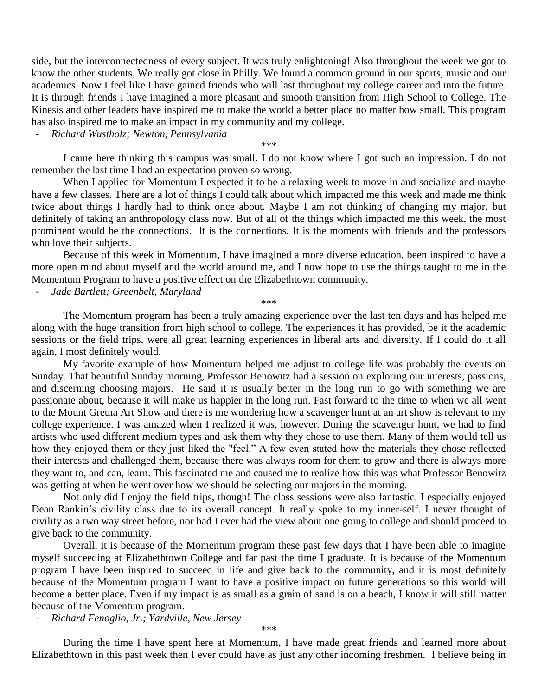side, but the interconnectedness of every subject. It was truly enlightening! Also throughout the week we got to know the other students. We really got close in Philly. We found a common ground in our sports, music and our academics. Now I feel like I have gained friends who will last throughout my college career and into the future. It is through friends I have imagined a more pleasant and smooth transition from High School to College. The Kinesis and other leaders have inspired me to make the world a better place no matter how small. This program has also inspired me to make an impact in my community and my college.

- *Richard Wustholz; Newton, Pennsylvania*

\*\*\*

I came here thinking this campus was small. I do not know where I got such an impression. I do not remember the last time I had an expectation proven so wrong.

When I applied for Momentum I expected it to be a relaxing week to move in and socialize and maybe have a few classes. There are a lot of things I could talk about which impacted me this week and made me think twice about things I hardly had to think once about. Maybe I am not thinking of changing my major, but definitely of taking an anthropology class now. But of all of the things which impacted me this week, the most prominent would be the connections. It is the connections. It is the moments with friends and the professors who love their subjects.

Because of this week in Momentum, I have imagined a more diverse education, been inspired to have a more open mind about myself and the world around me, and I now hope to use the things taught to me in the Momentum Program to have a positive effect on the Elizabethtown community.

- *Jade Bartlett; Greenbelt, Maryland*

\*\*\*

The Momentum program has been a truly amazing experience over the last ten days and has helped me along with the huge transition from high school to college. The experiences it has provided, be it the academic sessions or the field trips, were all great learning experiences in liberal arts and diversity. If I could do it all again, I most definitely would.

My favorite example of how Momentum helped me adjust to college life was probably the events on Sunday. That beautiful Sunday morning, Professor Benowitz had a session on exploring our interests, passions, and discerning choosing majors. He said it is usually better in the long run to go with something we are passionate about, because it will make us happier in the long run. Fast forward to the time to when we all went to the Mount Gretna Art Show and there is me wondering how a scavenger hunt at an art show is relevant to my college experience. I was amazed when I realized it was, however. During the scavenger hunt, we had to find artists who used different medium types and ask them why they chose to use them. Many of them would tell us how they enjoyed them or they just liked the "feel." A few even stated how the materials they chose reflected their interests and challenged them, because there was always room for them to grow and there is always more they want to, and can, learn. This fascinated me and caused me to realize how this was what Professor Benowitz was getting at when he went over how we should be selecting our majors in the morning.

Not only did I enjoy the field trips, though! The class sessions were also fantastic. I especially enjoyed Dean Rankin's civility class due to its overall concept. It really spoke to my inner-self. I never thought of civility as a two way street before, nor had I ever had the view about one going to college and should proceed to give back to the community.

Overall, it is because of the Momentum program these past few days that I have been able to imagine myself succeeding at Elizabethtown College and far past the time I graduate. It is because of the Momentum program I have been inspired to succeed in life and give back to the community, and it is most definitely because of the Momentum program I want to have a positive impact on future generations so this world will become a better place. Even if my impact is as small as a grain of sand is on a beach, I know it will still matter because of the Momentum program.

- *Richard Fenoglio, Jr.; Yardville, New Jersey*

\*\*\*

During the time I have spent here at Momentum, I have made great friends and learned more about Elizabethtown in this past week then I ever could have as just any other incoming freshmen. I believe being in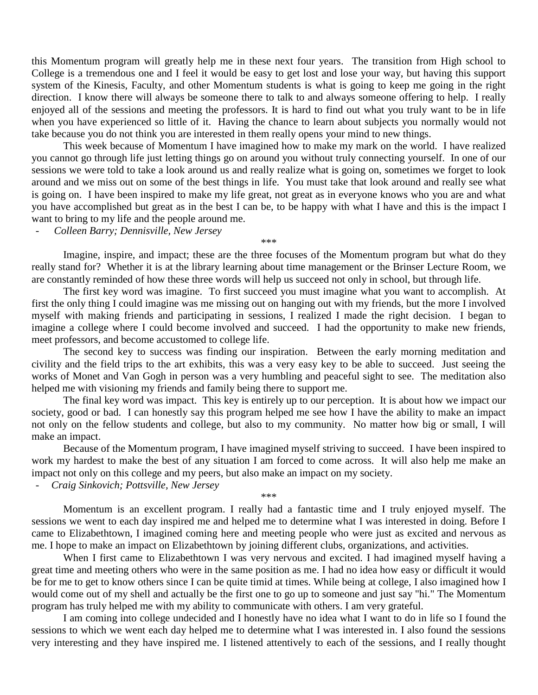this Momentum program will greatly help me in these next four years. The transition from High school to College is a tremendous one and I feel it would be easy to get lost and lose your way, but having this support system of the Kinesis, Faculty, and other Momentum students is what is going to keep me going in the right direction. I know there will always be someone there to talk to and always someone offering to help. I really enjoyed all of the sessions and meeting the professors. It is hard to find out what you truly want to be in life when you have experienced so little of it. Having the chance to learn about subjects you normally would not take because you do not think you are interested in them really opens your mind to new things.

This week because of Momentum I have imagined how to make my mark on the world. I have realized you cannot go through life just letting things go on around you without truly connecting yourself. In one of our sessions we were told to take a look around us and really realize what is going on, sometimes we forget to look around and we miss out on some of the best things in life. You must take that look around and really see what is going on. I have been inspired to make my life great, not great as in everyone knows who you are and what you have accomplished but great as in the best I can be, to be happy with what I have and this is the impact I want to bring to my life and the people around me.

- *Colleen Barry; Dennisville, New Jersey*

Imagine, inspire, and impact; these are the three focuses of the Momentum program but what do they really stand for? Whether it is at the library learning about time management or the Brinser Lecture Room, we are constantly reminded of how these three words will help us succeed not only in school, but through life.

\*\*\*

The first key word was imagine. To first succeed you must imagine what you want to accomplish. At first the only thing I could imagine was me missing out on hanging out with my friends, but the more I involved myself with making friends and participating in sessions, I realized I made the right decision. I began to imagine a college where I could become involved and succeed. I had the opportunity to make new friends, meet professors, and become accustomed to college life.

The second key to success was finding our inspiration. Between the early morning meditation and civility and the field trips to the art exhibits, this was a very easy key to be able to succeed. Just seeing the works of Monet and Van Gogh in person was a very humbling and peaceful sight to see. The meditation also helped me with visioning my friends and family being there to support me.

The final key word was impact. This key is entirely up to our perception. It is about how we impact our society, good or bad. I can honestly say this program helped me see how I have the ability to make an impact not only on the fellow students and college, but also to my community. No matter how big or small, I will make an impact.

Because of the Momentum program, I have imagined myself striving to succeed. I have been inspired to work my hardest to make the best of any situation I am forced to come across. It will also help me make an impact not only on this college and my peers, but also make an impact on my society.

\*\*\*

- *Craig Sinkovich; Pottsville, New Jersey*

Momentum is an excellent program. I really had a fantastic time and I truly enjoyed myself. The sessions we went to each day inspired me and helped me to determine what I was interested in doing. Before I came to Elizabethtown, I imagined coming here and meeting people who were just as excited and nervous as me. I hope to make an impact on Elizabethtown by joining different clubs, organizations, and activities.

When I first came to Elizabethtown I was very nervous and excited. I had imagined myself having a great time and meeting others who were in the same position as me. I had no idea how easy or difficult it would be for me to get to know others since I can be quite timid at times. While being at college, I also imagined how I would come out of my shell and actually be the first one to go up to someone and just say "hi." The Momentum program has truly helped me with my ability to communicate with others. I am very grateful.

I am coming into college undecided and I honestly have no idea what I want to do in life so I found the sessions to which we went each day helped me to determine what I was interested in. I also found the sessions very interesting and they have inspired me. I listened attentively to each of the sessions, and I really thought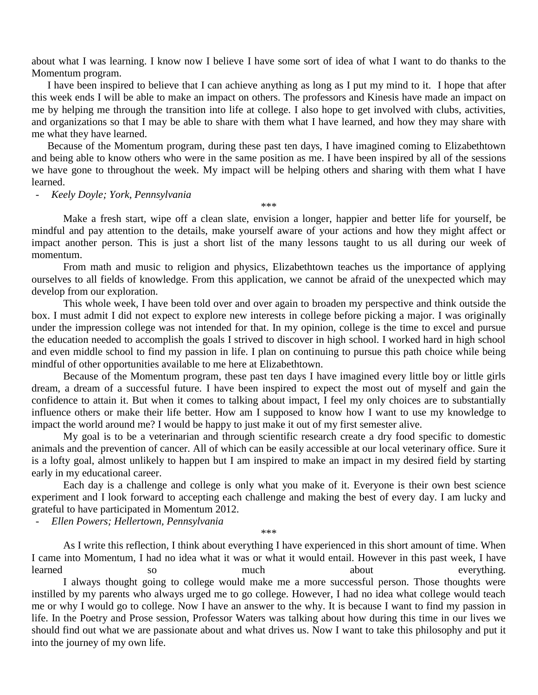about what I was learning. I know now I believe I have some sort of idea of what I want to do thanks to the Momentum program.

I have been inspired to believe that I can achieve anything as long as I put my mind to it. I hope that after this week ends I will be able to make an impact on others. The professors and Kinesis have made an impact on me by helping me through the transition into life at college. I also hope to get involved with clubs, activities, and organizations so that I may be able to share with them what I have learned, and how they may share with me what they have learned.

Because of the Momentum program, during these past ten days, I have imagined coming to Elizabethtown and being able to know others who were in the same position as me. I have been inspired by all of the sessions we have gone to throughout the week. My impact will be helping others and sharing with them what I have learned.

- *Keely Doyle; York, Pennsylvania*

Make a fresh start, wipe off a clean slate, envision a longer, happier and better life for yourself, be mindful and pay attention to the details, make yourself aware of your actions and how they might affect or impact another person. This is just a short list of the many lessons taught to us all during our week of momentum.

\*\*\*

From math and music to religion and physics, Elizabethtown teaches us the importance of applying ourselves to all fields of knowledge. From this application, we cannot be afraid of the unexpected which may develop from our exploration.

This whole week, I have been told over and over again to broaden my perspective and think outside the box. I must admit I did not expect to explore new interests in college before picking a major. I was originally under the impression college was not intended for that. In my opinion, college is the time to excel and pursue the education needed to accomplish the goals I strived to discover in high school. I worked hard in high school and even middle school to find my passion in life. I plan on continuing to pursue this path choice while being mindful of other opportunities available to me here at Elizabethtown.

Because of the Momentum program, these past ten days I have imagined every little boy or little girls dream, a dream of a successful future. I have been inspired to expect the most out of myself and gain the confidence to attain it. But when it comes to talking about impact, I feel my only choices are to substantially influence others or make their life better. How am I supposed to know how I want to use my knowledge to impact the world around me? I would be happy to just make it out of my first semester alive.

My goal is to be a veterinarian and through scientific research create a dry food specific to domestic animals and the prevention of cancer. All of which can be easily accessible at our local veterinary office. Sure it is a lofty goal, almost unlikely to happen but I am inspired to make an impact in my desired field by starting early in my educational career.

Each day is a challenge and college is only what you make of it. Everyone is their own best science experiment and I look forward to accepting each challenge and making the best of every day. I am lucky and grateful to have participated in Momentum 2012.

- *Ellen Powers; Hellertown, Pennsylvania*

\*\*\*

As I write this reflection, I think about everything I have experienced in this short amount of time. When I came into Momentum, I had no idea what it was or what it would entail. However in this past week, I have learned so so much about everything. I always thought going to college would make me a more successful person. Those thoughts were instilled by my parents who always urged me to go college. However, I had no idea what college would teach me or why I would go to college. Now I have an answer to the why. It is because I want to find my passion in life. In the Poetry and Prose session, Professor Waters was talking about how during this time in our lives we should find out what we are passionate about and what drives us. Now I want to take this philosophy and put it into the journey of my own life.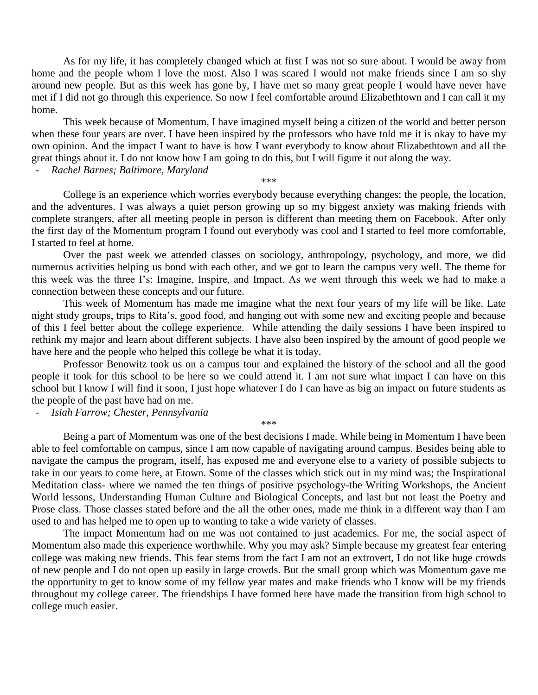As for my life, it has completely changed which at first I was not so sure about. I would be away from home and the people whom I love the most. Also I was scared I would not make friends since I am so shy around new people. But as this week has gone by, I have met so many great people I would have never have met if I did not go through this experience. So now I feel comfortable around Elizabethtown and I can call it my home.

This week because of Momentum, I have imagined myself being a citizen of the world and better person when these four years are over. I have been inspired by the professors who have told me it is okay to have my own opinion. And the impact I want to have is how I want everybody to know about Elizabethtown and all the great things about it. I do not know how I am going to do this, but I will figure it out along the way.

## - *Rachel Barnes; Baltimore, Maryland*

\*\*\*

College is an experience which worries everybody because everything changes; the people, the location, and the adventures. I was always a quiet person growing up so my biggest anxiety was making friends with complete strangers, after all meeting people in person is different than meeting them on Facebook. After only the first day of the Momentum program I found out everybody was cool and I started to feel more comfortable, I started to feel at home.

Over the past week we attended classes on sociology, anthropology, psychology, and more, we did numerous activities helping us bond with each other, and we got to learn the campus very well. The theme for this week was the three I's: Imagine, Inspire, and Impact. As we went through this week we had to make a connection between these concepts and our future.

This week of Momentum has made me imagine what the next four years of my life will be like. Late night study groups, trips to Rita's, good food, and hanging out with some new and exciting people and because of this I feel better about the college experience. While attending the daily sessions I have been inspired to rethink my major and learn about different subjects. I have also been inspired by the amount of good people we have here and the people who helped this college be what it is today.

Professor Benowitz took us on a campus tour and explained the history of the school and all the good people it took for this school to be here so we could attend it. I am not sure what impact I can have on this school but I know I will find it soon, I just hope whatever I do I can have as big an impact on future students as the people of the past have had on me.

- *Isiah Farrow; Chester, Pennsylvania*

\*\*\*

Being a part of Momentum was one of the best decisions I made. While being in Momentum I have been able to feel comfortable on campus, since I am now capable of navigating around campus. Besides being able to navigate the campus the program, itself, has exposed me and everyone else to a variety of possible subjects to take in our years to come here, at Etown. Some of the classes which stick out in my mind was; the Inspirational Meditation class- where we named the ten things of positive psychology-the Writing Workshops, the Ancient World lessons, Understanding Human Culture and Biological Concepts, and last but not least the Poetry and Prose class. Those classes stated before and the all the other ones, made me think in a different way than I am used to and has helped me to open up to wanting to take a wide variety of classes.

The impact Momentum had on me was not contained to just academics. For me, the social aspect of Momentum also made this experience worthwhile. Why you may ask? Simple because my greatest fear entering college was making new friends. This fear stems from the fact I am not an extrovert, I do not like huge crowds of new people and I do not open up easily in large crowds. But the small group which was Momentum gave me the opportunity to get to know some of my fellow year mates and make friends who I know will be my friends throughout my college career. The friendships I have formed here have made the transition from high school to college much easier.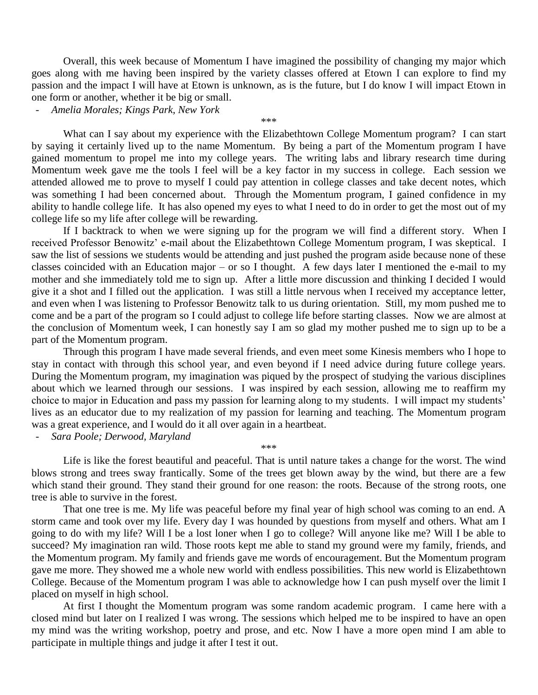Overall, this week because of Momentum I have imagined the possibility of changing my major which goes along with me having been inspired by the variety classes offered at Etown I can explore to find my passion and the impact I will have at Etown is unknown, as is the future, but I do know I will impact Etown in one form or another, whether it be big or small.

.<br>مله مله مله

- *Amelia Morales; Kings Park, New York*

What can I say about my experience with the Elizabethtown College Momentum program? I can start by saying it certainly lived up to the name Momentum. By being a part of the Momentum program I have gained momentum to propel me into my college years. The writing labs and library research time during Momentum week gave me the tools I feel will be a key factor in my success in college. Each session we attended allowed me to prove to myself I could pay attention in college classes and take decent notes, which was something I had been concerned about. Through the Momentum program, I gained confidence in my ability to handle college life. It has also opened my eyes to what I need to do in order to get the most out of my college life so my life after college will be rewarding.

If I backtrack to when we were signing up for the program we will find a different story. When I received Professor Benowitz' e-mail about the Elizabethtown College Momentum program, I was skeptical. I saw the list of sessions we students would be attending and just pushed the program aside because none of these classes coincided with an Education major – or so I thought. A few days later I mentioned the e-mail to my mother and she immediately told me to sign up. After a little more discussion and thinking I decided I would give it a shot and I filled out the application. I was still a little nervous when I received my acceptance letter, and even when I was listening to Professor Benowitz talk to us during orientation. Still, my mom pushed me to come and be a part of the program so I could adjust to college life before starting classes. Now we are almost at the conclusion of Momentum week, I can honestly say I am so glad my mother pushed me to sign up to be a part of the Momentum program.

Through this program I have made several friends, and even meet some Kinesis members who I hope to stay in contact with through this school year, and even beyond if I need advice during future college years. During the Momentum program, my imagination was piqued by the prospect of studying the various disciplines about which we learned through our sessions. I was inspired by each session, allowing me to reaffirm my choice to major in Education and pass my passion for learning along to my students. I will impact my students' lives as an educator due to my realization of my passion for learning and teaching. The Momentum program was a great experience, and I would do it all over again in a heartbeat.

- *Sara Poole; Derwood, Maryland*

\*\*\*

Life is like the forest beautiful and peaceful. That is until nature takes a change for the worst. The wind blows strong and trees sway frantically. Some of the trees get blown away by the wind, but there are a few which stand their ground. They stand their ground for one reason: the roots. Because of the strong roots, one tree is able to survive in the forest.

That one tree is me. My life was peaceful before my final year of high school was coming to an end. A storm came and took over my life. Every day I was hounded by questions from myself and others. What am I going to do with my life? Will I be a lost loner when I go to college? Will anyone like me? Will I be able to succeed? My imagination ran wild. Those roots kept me able to stand my ground were my family, friends, and the Momentum program. My family and friends gave me words of encouragement. But the Momentum program gave me more. They showed me a whole new world with endless possibilities. This new world is Elizabethtown College. Because of the Momentum program I was able to acknowledge how I can push myself over the limit I placed on myself in high school.

At first I thought the Momentum program was some random academic program. I came here with a closed mind but later on I realized I was wrong. The sessions which helped me to be inspired to have an open my mind was the writing workshop, poetry and prose, and etc. Now I have a more open mind I am able to participate in multiple things and judge it after I test it out.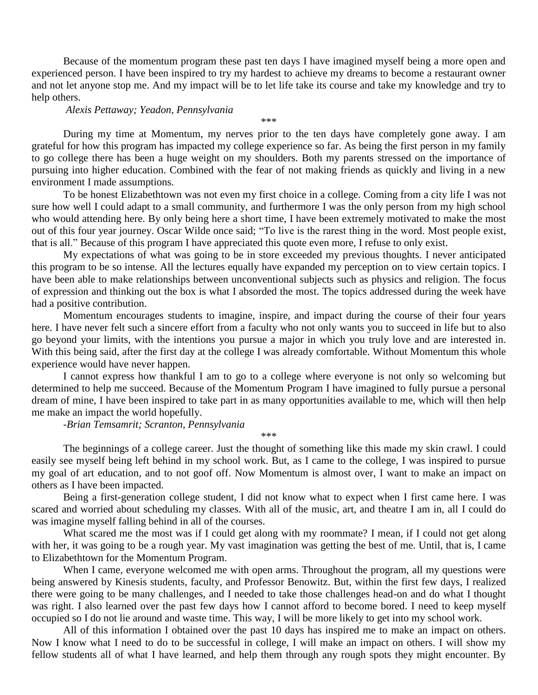Because of the momentum program these past ten days I have imagined myself being a more open and experienced person. I have been inspired to try my hardest to achieve my dreams to become a restaurant owner and not let anyone stop me. And my impact will be to let life take its course and take my knowledge and try to help others.

#### *Alexis Pettaway; Yeadon, Pennsylvania*

.<br>مله مله مله

During my time at Momentum, my nerves prior to the ten days have completely gone away. I am grateful for how this program has impacted my college experience so far. As being the first person in my family to go college there has been a huge weight on my shoulders. Both my parents stressed on the importance of pursuing into higher education. Combined with the fear of not making friends as quickly and living in a new environment I made assumptions.

To be honest Elizabethtown was not even my first choice in a college. Coming from a city life I was not sure how well I could adapt to a small community, and furthermore I was the only person from my high school who would attending here. By only being here a short time, I have been extremely motivated to make the most out of this four year journey. Oscar Wilde once said; "To live is the rarest thing in the word. Most people exist, that is all." Because of this program I have appreciated this quote even more, I refuse to only exist.

My expectations of what was going to be in store exceeded my previous thoughts. I never anticipated this program to be so intense. All the lectures equally have expanded my perception on to view certain topics. I have been able to make relationships between unconventional subjects such as physics and religion. The focus of expression and thinking out the box is what I absorded the most. The topics addressed during the week have had a positive contribution.

Momentum encourages students to imagine, inspire, and impact during the course of their four years here. I have never felt such a sincere effort from a faculty who not only wants you to succeed in life but to also go beyond your limits, with the intentions you pursue a major in which you truly love and are interested in. With this being said, after the first day at the college I was already comfortable. Without Momentum this whole experience would have never happen.

I cannot express how thankful I am to go to a college where everyone is not only so welcoming but determined to help me succeed. Because of the Momentum Program I have imagined to fully pursue a personal dream of mine, I have been inspired to take part in as many opportunities available to me, which will then help me make an impact the world hopefully.

-*Brian Temsamrit; Scranton, Pennsylvania*

\*\*\*

The beginnings of a college career. Just the thought of something like this made my skin crawl. I could easily see myself being left behind in my school work. But, as I came to the college, I was inspired to pursue my goal of art education, and to not goof off. Now Momentum is almost over, I want to make an impact on others as I have been impacted.

Being a first-generation college student, I did not know what to expect when I first came here. I was scared and worried about scheduling my classes. With all of the music, art, and theatre I am in, all I could do was imagine myself falling behind in all of the courses.

What scared me the most was if I could get along with my roommate? I mean, if I could not get along with her, it was going to be a rough year. My vast imagination was getting the best of me. Until, that is, I came to Elizabethtown for the Momentum Program.

When I came, everyone welcomed me with open arms. Throughout the program, all my questions were being answered by Kinesis students, faculty, and Professor Benowitz. But, within the first few days, I realized there were going to be many challenges, and I needed to take those challenges head-on and do what I thought was right. I also learned over the past few days how I cannot afford to become bored. I need to keep myself occupied so I do not lie around and waste time. This way, I will be more likely to get into my school work.

All of this information I obtained over the past 10 days has inspired me to make an impact on others. Now I know what I need to do to be successful in college, I will make an impact on others. I will show my fellow students all of what I have learned, and help them through any rough spots they might encounter. By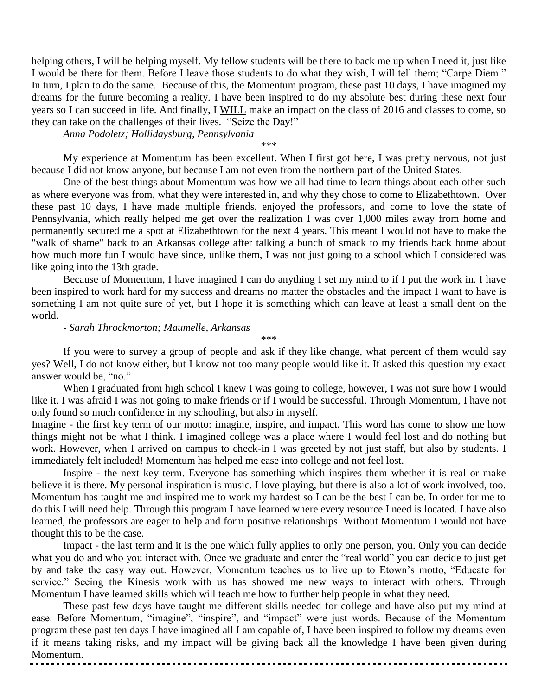helping others, I will be helping myself. My fellow students will be there to back me up when I need it, just like I would be there for them. Before I leave those students to do what they wish, I will tell them; "Carpe Diem." In turn, I plan to do the same. Because of this, the Momentum program, these past 10 days, I have imagined my dreams for the future becoming a reality. I have been inspired to do my absolute best during these next four years so I can succeed in life. And finally, I WILL make an impact on the class of 2016 and classes to come, so they can take on the challenges of their lives. "Seize the Day!"

*Anna Podoletz; Hollidaysburg, Pennsylvania*

\*\*\*

My experience at Momentum has been excellent. When I first got here, I was pretty nervous, not just because I did not know anyone, but because I am not even from the northern part of the United States.

One of the best things about Momentum was how we all had time to learn things about each other such as where everyone was from, what they were interested in, and why they chose to come to Elizabethtown. Over these past 10 days, I have made multiple friends, enjoyed the professors, and come to love the state of Pennsylvania, which really helped me get over the realization I was over 1,000 miles away from home and permanently secured me a spot at Elizabethtown for the next 4 years. This meant I would not have to make the "walk of shame" back to an Arkansas college after talking a bunch of smack to my friends back home about how much more fun I would have since, unlike them, I was not just going to a school which I considered was like going into the 13th grade.

Because of Momentum, I have imagined I can do anything I set my mind to if I put the work in. I have been inspired to work hard for my success and dreams no matter the obstacles and the impact I want to have is something I am not quite sure of yet, but I hope it is something which can leave at least a small dent on the world.

### - *Sarah Throckmorton; Maumelle, Arkansas*

If you were to survey a group of people and ask if they like change, what percent of them would say yes? Well, I do not know either, but I know not too many people would like it. If asked this question my exact answer would be, "no."

\*\*\*

When I graduated from high school I knew I was going to college, however, I was not sure how I would like it. I was afraid I was not going to make friends or if I would be successful. Through Momentum, I have not only found so much confidence in my schooling, but also in myself.

Imagine - the first key term of our motto: imagine, inspire, and impact. This word has come to show me how things might not be what I think. I imagined college was a place where I would feel lost and do nothing but work. However, when I arrived on campus to check-in I was greeted by not just staff, but also by students. I immediately felt included! Momentum has helped me ease into college and not feel lost.

Inspire - the next key term. Everyone has something which inspires them whether it is real or make believe it is there. My personal inspiration is music. I love playing, but there is also a lot of work involved, too. Momentum has taught me and inspired me to work my hardest so I can be the best I can be. In order for me to do this I will need help. Through this program I have learned where every resource I need is located. I have also learned, the professors are eager to help and form positive relationships. Without Momentum I would not have thought this to be the case.

Impact - the last term and it is the one which fully applies to only one person, you. Only you can decide what you do and who you interact with. Once we graduate and enter the "real world" you can decide to just get by and take the easy way out. However, Momentum teaches us to live up to Etown's motto, "Educate for service." Seeing the Kinesis work with us has showed me new ways to interact with others. Through Momentum I have learned skills which will teach me how to further help people in what they need.

These past few days have taught me different skills needed for college and have also put my mind at ease. Before Momentum, "imagine", "inspire", and "impact" were just words. Because of the Momentum program these past ten days I have imagined all I am capable of, I have been inspired to follow my dreams even if it means taking risks, and my impact will be giving back all the knowledge I have been given during Momentum.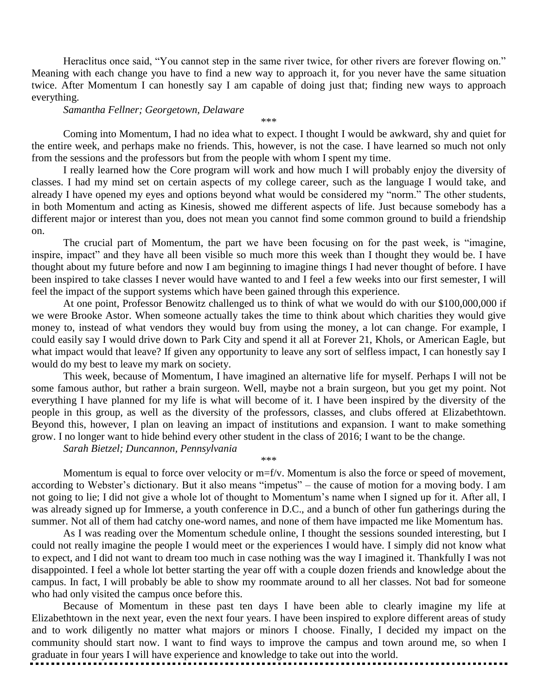Heraclitus once said, "You cannot step in the same river twice, for other rivers are forever flowing on." Meaning with each change you have to find a new way to approach it, for you never have the same situation twice. After Momentum I can honestly say I am capable of doing just that; finding new ways to approach everything.

#### *Samantha Fellner; Georgetown, Delaware*

Coming into Momentum, I had no idea what to expect. I thought I would be awkward, shy and quiet for the entire week, and perhaps make no friends. This, however, is not the case. I have learned so much not only from the sessions and the professors but from the people with whom I spent my time.

\*\*\*

I really learned how the Core program will work and how much I will probably enjoy the diversity of classes. I had my mind set on certain aspects of my college career, such as the language I would take, and already I have opened my eyes and options beyond what would be considered my "norm." The other students, in both Momentum and acting as Kinesis, showed me different aspects of life. Just because somebody has a different major or interest than you, does not mean you cannot find some common ground to build a friendship on.

The crucial part of Momentum, the part we have been focusing on for the past week, is "imagine, inspire, impact" and they have all been visible so much more this week than I thought they would be. I have thought about my future before and now I am beginning to imagine things I had never thought of before. I have been inspired to take classes I never would have wanted to and I feel a few weeks into our first semester, I will feel the impact of the support systems which have been gained through this experience.

At one point, Professor Benowitz challenged us to think of what we would do with our \$100,000,000 if we were Brooke Astor. When someone actually takes the time to think about which charities they would give money to, instead of what vendors they would buy from using the money, a lot can change. For example, I could easily say I would drive down to Park City and spend it all at Forever 21, Khols, or American Eagle, but what impact would that leave? If given any opportunity to leave any sort of selfless impact, I can honestly say I would do my best to leave my mark on society.

This week, because of Momentum, I have imagined an alternative life for myself. Perhaps I will not be some famous author, but rather a brain surgeon. Well, maybe not a brain surgeon, but you get my point. Not everything I have planned for my life is what will become of it. I have been inspired by the diversity of the people in this group, as well as the diversity of the professors, classes, and clubs offered at Elizabethtown. Beyond this, however, I plan on leaving an impact of institutions and expansion. I want to make something grow. I no longer want to hide behind every other student in the class of 2016; I want to be the change.

*Sarah Bietzel; Duncannon, Pennsylvania*

Momentum is equal to force over velocity or m=f/v. Momentum is also the force or speed of movement, according to Webster's dictionary. But it also means "impetus" – the cause of motion for a moving body. I am not going to lie; I did not give a whole lot of thought to Momentum's name when I signed up for it. After all, I was already signed up for Immerse, a youth conference in D.C., and a bunch of other fun gatherings during the summer. Not all of them had catchy one-word names, and none of them have impacted me like Momentum has.

\*\*\*

As I was reading over the Momentum schedule online, I thought the sessions sounded interesting, but I could not really imagine the people I would meet or the experiences I would have. I simply did not know what to expect, and I did not want to dream too much in case nothing was the way I imagined it. Thankfully I was not disappointed. I feel a whole lot better starting the year off with a couple dozen friends and knowledge about the campus. In fact, I will probably be able to show my roommate around to all her classes. Not bad for someone who had only visited the campus once before this.

Because of Momentum in these past ten days I have been able to clearly imagine my life at Elizabethtown in the next year, even the next four years. I have been inspired to explore different areas of study and to work diligently no matter what majors or minors I choose. Finally, I decided my impact on the community should start now. I want to find ways to improve the campus and town around me, so when I graduate in four years I will have experience and knowledge to take out into the world.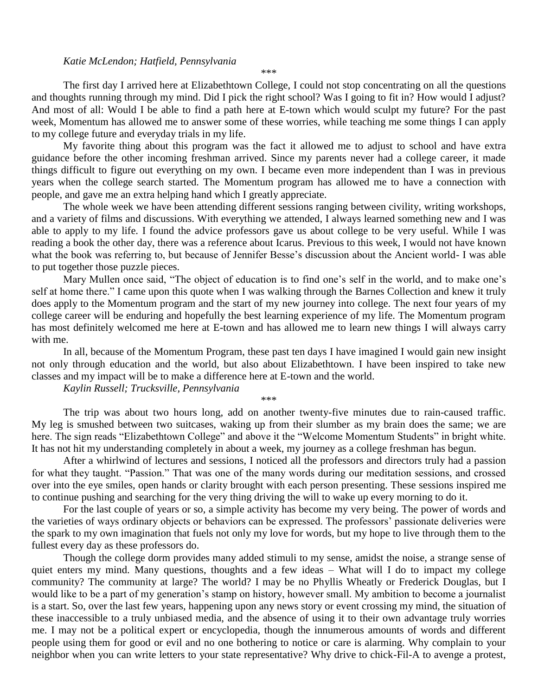#### *Katie McLendon; Hatfield, Pennsylvania*

\*\*\*

The first day I arrived here at Elizabethtown College, I could not stop concentrating on all the questions and thoughts running through my mind. Did I pick the right school? Was I going to fit in? How would I adjust? And most of all: Would I be able to find a path here at E-town which would sculpt my future? For the past week, Momentum has allowed me to answer some of these worries, while teaching me some things I can apply to my college future and everyday trials in my life.

My favorite thing about this program was the fact it allowed me to adjust to school and have extra guidance before the other incoming freshman arrived. Since my parents never had a college career, it made things difficult to figure out everything on my own. I became even more independent than I was in previous years when the college search started. The Momentum program has allowed me to have a connection with people, and gave me an extra helping hand which I greatly appreciate.

The whole week we have been attending different sessions ranging between civility, writing workshops, and a variety of films and discussions. With everything we attended, I always learned something new and I was able to apply to my life. I found the advice professors gave us about college to be very useful. While I was reading a book the other day, there was a reference about Icarus. Previous to this week, I would not have known what the book was referring to, but because of Jennifer Besse's discussion about the Ancient world- I was able to put together those puzzle pieces.

Mary Mullen once said, "The object of education is to find one's self in the world, and to make one's self at home there." I came upon this quote when I was walking through the Barnes Collection and knew it truly does apply to the Momentum program and the start of my new journey into college. The next four years of my college career will be enduring and hopefully the best learning experience of my life. The Momentum program has most definitely welcomed me here at E-town and has allowed me to learn new things I will always carry with me.

In all, because of the Momentum Program, these past ten days I have imagined I would gain new insight not only through education and the world, but also about Elizabethtown. I have been inspired to take new classes and my impact will be to make a difference here at E-town and the world.

*Kaylin Russell; Trucksville, Pennsylvania*

\*\*\*

The trip was about two hours long, add on another twenty-five minutes due to rain-caused traffic. My leg is smushed between two suitcases, waking up from their slumber as my brain does the same; we are here. The sign reads "Elizabethtown College" and above it the "Welcome Momentum Students" in bright white. It has not hit my understanding completely in about a week, my journey as a college freshman has begun.

After a whirlwind of lectures and sessions, I noticed all the professors and directors truly had a passion for what they taught. "Passion." That was one of the many words during our meditation sessions, and crossed over into the eye smiles, open hands or clarity brought with each person presenting. These sessions inspired me to continue pushing and searching for the very thing driving the will to wake up every morning to do it.

For the last couple of years or so, a simple activity has become my very being. The power of words and the varieties of ways ordinary objects or behaviors can be expressed. The professors' passionate deliveries were the spark to my own imagination that fuels not only my love for words, but my hope to live through them to the fullest every day as these professors do.

Though the college dorm provides many added stimuli to my sense, amidst the noise, a strange sense of quiet enters my mind. Many questions, thoughts and a few ideas – What will I do to impact my college community? The community at large? The world? I may be no Phyllis Wheatly or Frederick Douglas, but I would like to be a part of my generation's stamp on history, however small. My ambition to become a journalist is a start. So, over the last few years, happening upon any news story or event crossing my mind, the situation of these inaccessible to a truly unbiased media, and the absence of using it to their own advantage truly worries me. I may not be a political expert or encyclopedia, though the innumerous amounts of words and different people using them for good or evil and no one bothering to notice or care is alarming. Why complain to your neighbor when you can write letters to your state representative? Why drive to chick-Fil-A to avenge a protest,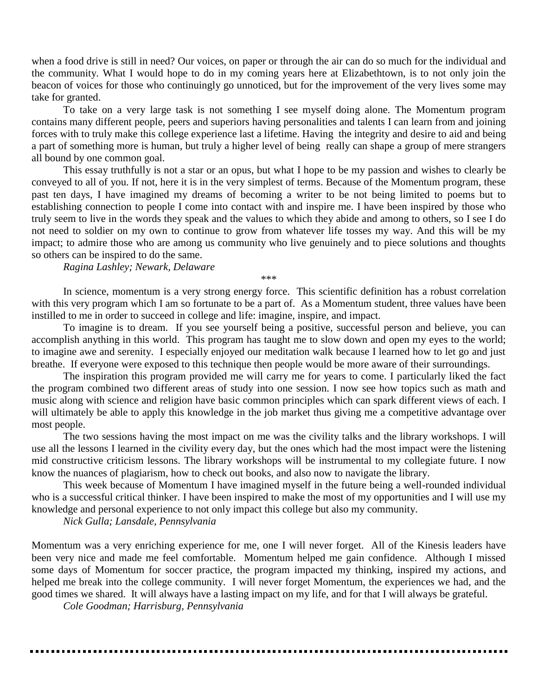when a food drive is still in need? Our voices, on paper or through the air can do so much for the individual and the community. What I would hope to do in my coming years here at Elizabethtown, is to not only join the beacon of voices for those who continuingly go unnoticed, but for the improvement of the very lives some may take for granted.

To take on a very large task is not something I see myself doing alone. The Momentum program contains many different people, peers and superiors having personalities and talents I can learn from and joining forces with to truly make this college experience last a lifetime. Having the integrity and desire to aid and being a part of something more is human, but truly a higher level of being really can shape a group of mere strangers all bound by one common goal.

This essay truthfully is not a star or an opus, but what I hope to be my passion and wishes to clearly be conveyed to all of you. If not, here it is in the very simplest of terms. Because of the Momentum program, these past ten days, I have imagined my dreams of becoming a writer to be not being limited to poems but to establishing connection to people I come into contact with and inspire me. I have been inspired by those who truly seem to live in the words they speak and the values to which they abide and among to others, so I see I do not need to soldier on my own to continue to grow from whatever life tosses my way. And this will be my impact; to admire those who are among us community who live genuinely and to piece solutions and thoughts so others can be inspired to do the same.

*Ragina Lashley; Newark, Delaware*

\*\*\*

In science, momentum is a very strong energy force. This scientific definition has a robust correlation with this very program which I am so fortunate to be a part of. As a Momentum student, three values have been instilled to me in order to succeed in college and life: imagine, inspire, and impact.

To imagine is to dream. If you see yourself being a positive, successful person and believe, you can accomplish anything in this world. This program has taught me to slow down and open my eyes to the world; to imagine awe and serenity. I especially enjoyed our meditation walk because I learned how to let go and just breathe. If everyone were exposed to this technique then people would be more aware of their surroundings.

The inspiration this program provided me will carry me for years to come. I particularly liked the fact the program combined two different areas of study into one session. I now see how topics such as math and music along with science and religion have basic common principles which can spark different views of each. I will ultimately be able to apply this knowledge in the job market thus giving me a competitive advantage over most people.

The two sessions having the most impact on me was the civility talks and the library workshops. I will use all the lessons I learned in the civility every day, but the ones which had the most impact were the listening mid constructive criticism lessons. The library workshops will be instrumental to my collegiate future. I now know the nuances of plagiarism, how to check out books, and also now to navigate the library.

This week because of Momentum I have imagined myself in the future being a well-rounded individual who is a successful critical thinker. I have been inspired to make the most of my opportunities and I will use my knowledge and personal experience to not only impact this college but also my community.

*Nick Gulla; Lansdale, Pennsylvania*

Momentum was a very enriching experience for me, one I will never forget. All of the Kinesis leaders have been very nice and made me feel comfortable. Momentum helped me gain confidence. Although I missed some days of Momentum for soccer practice, the program impacted my thinking, inspired my actions, and helped me break into the college community. I will never forget Momentum, the experiences we had, and the good times we shared. It will always have a lasting impact on my life, and for that I will always be grateful.

*Cole Goodman; Harrisburg, Pennsylvania*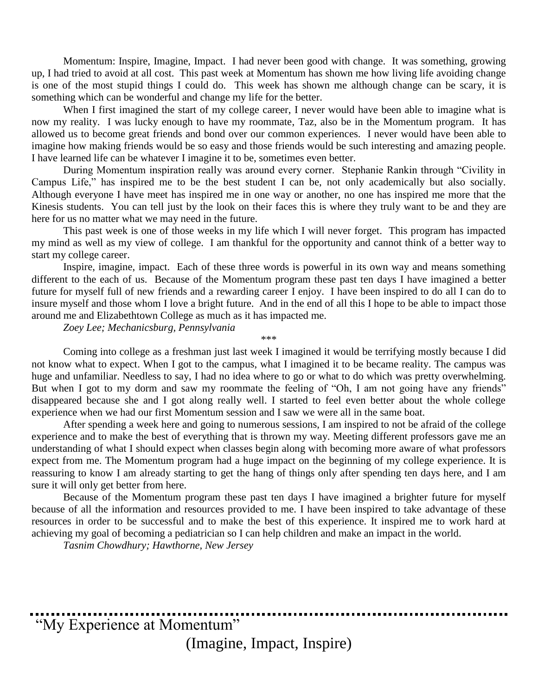Momentum: Inspire, Imagine, Impact. I had never been good with change. It was something, growing up, I had tried to avoid at all cost. This past week at Momentum has shown me how living life avoiding change is one of the most stupid things I could do. This week has shown me although change can be scary, it is something which can be wonderful and change my life for the better.

When I first imagined the start of my college career, I never would have been able to imagine what is now my reality. I was lucky enough to have my roommate, Taz, also be in the Momentum program. It has allowed us to become great friends and bond over our common experiences. I never would have been able to imagine how making friends would be so easy and those friends would be such interesting and amazing people. I have learned life can be whatever I imagine it to be, sometimes even better.

During Momentum inspiration really was around every corner. Stephanie Rankin through "Civility in Campus Life," has inspired me to be the best student I can be, not only academically but also socially. Although everyone I have meet has inspired me in one way or another, no one has inspired me more that the Kinesis students. You can tell just by the look on their faces this is where they truly want to be and they are here for us no matter what we may need in the future.

This past week is one of those weeks in my life which I will never forget. This program has impacted my mind as well as my view of college. I am thankful for the opportunity and cannot think of a better way to start my college career.

Inspire, imagine, impact. Each of these three words is powerful in its own way and means something different to the each of us. Because of the Momentum program these past ten days I have imagined a better future for myself full of new friends and a rewarding career I enjoy. I have been inspired to do all I can do to insure myself and those whom I love a bright future. And in the end of all this I hope to be able to impact those around me and Elizabethtown College as much as it has impacted me.

\*\*\*

*Zoey Lee; Mechanicsburg, Pennsylvania*

Coming into college as a freshman just last week I imagined it would be terrifying mostly because I did not know what to expect. When I got to the campus, what I imagined it to be became reality. The campus was huge and unfamiliar. Needless to say, I had no idea where to go or what to do which was pretty overwhelming. But when I got to my dorm and saw my roommate the feeling of "Oh, I am not going have any friends" disappeared because she and I got along really well. I started to feel even better about the whole college experience when we had our first Momentum session and I saw we were all in the same boat.

After spending a week here and going to numerous sessions, I am inspired to not be afraid of the college experience and to make the best of everything that is thrown my way. Meeting different professors gave me an understanding of what I should expect when classes begin along with becoming more aware of what professors expect from me. The Momentum program had a huge impact on the beginning of my college experience. It is reassuring to know I am already starting to get the hang of things only after spending ten days here, and I am sure it will only get better from here.

Because of the Momentum program these past ten days I have imagined a brighter future for myself because of all the information and resources provided to me. I have been inspired to take advantage of these resources in order to be successful and to make the best of this experience. It inspired me to work hard at achieving my goal of becoming a pediatrician so I can help children and make an impact in the world.

*Tasnim Chowdhury; Hawthorne, New Jersey*

"My Experience at Momentum" (Imagine, Impact, Inspire)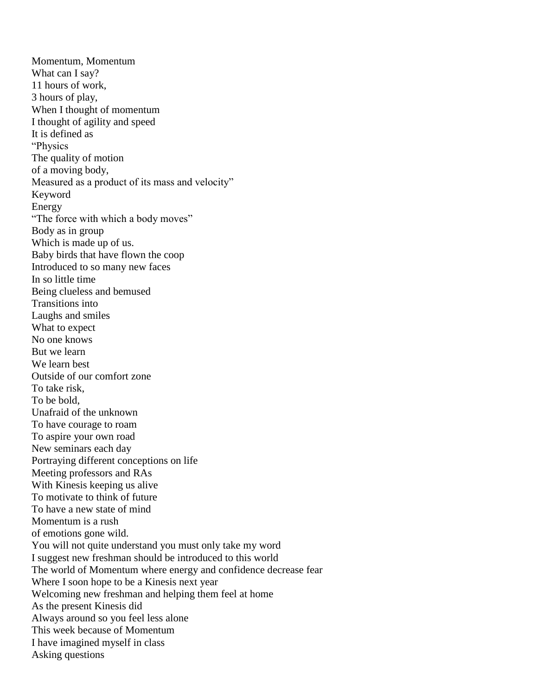Momentum, Momentum What can I say? 11 hours of work, 3 hours of play, When I thought of momentum I thought of agility and speed It is defined as "Physics The quality of motion of a moving body, Measured as a product of its mass and velocity" Keyword Energy "The force with which a body moves" Body as in group Which is made up of us. Baby birds that have flown the coop Introduced to so many new faces In so little time Being clueless and bemused Transitions into Laughs and smiles What to expect No one knows But we learn We learn best Outside of our comfort zone To take risk, To be bold, Unafraid of the unknown To have courage to roam To aspire your own road New seminars each day Portraying different conceptions on life Meeting professors and RAs With Kinesis keeping us alive To motivate to think of future To have a new state of mind Momentum is a rush of emotions gone wild. You will not quite understand you must only take my word I suggest new freshman should be introduced to this world The world of Momentum where energy and confidence decrease fear Where I soon hope to be a Kinesis next year Welcoming new freshman and helping them feel at home As the present Kinesis did Always around so you feel less alone This week because of Momentum I have imagined myself in class Asking questions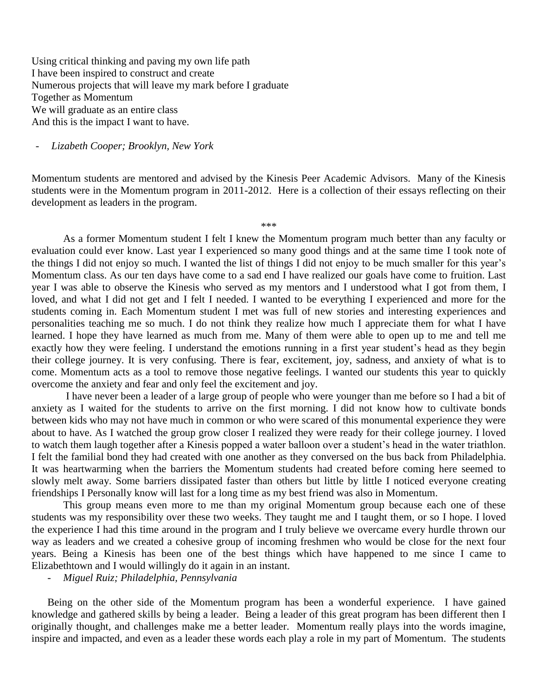Using critical thinking and paving my own life path I have been inspired to construct and create Numerous projects that will leave my mark before I graduate Together as Momentum We will graduate as an entire class And this is the impact I want to have.

- *Lizabeth Cooper; Brooklyn, New York*

Momentum students are mentored and advised by the Kinesis Peer Academic Advisors. Many of the Kinesis students were in the Momentum program in 2011-2012. Here is a collection of their essays reflecting on their development as leaders in the program.

\*\*\*

As a former Momentum student I felt I knew the Momentum program much better than any faculty or evaluation could ever know. Last year I experienced so many good things and at the same time I took note of the things I did not enjoy so much. I wanted the list of things I did not enjoy to be much smaller for this year's Momentum class. As our ten days have come to a sad end I have realized our goals have come to fruition. Last year I was able to observe the Kinesis who served as my mentors and I understood what I got from them, I loved, and what I did not get and I felt I needed. I wanted to be everything I experienced and more for the students coming in. Each Momentum student I met was full of new stories and interesting experiences and personalities teaching me so much. I do not think they realize how much I appreciate them for what I have learned. I hope they have learned as much from me. Many of them were able to open up to me and tell me exactly how they were feeling. I understand the emotions running in a first year student's head as they begin their college journey. It is very confusing. There is fear, excitement, joy, sadness, and anxiety of what is to come. Momentum acts as a tool to remove those negative feelings. I wanted our students this year to quickly overcome the anxiety and fear and only feel the excitement and joy.

I have never been a leader of a large group of people who were younger than me before so I had a bit of anxiety as I waited for the students to arrive on the first morning. I did not know how to cultivate bonds between kids who may not have much in common or who were scared of this monumental experience they were about to have. As I watched the group grow closer I realized they were ready for their college journey. I loved to watch them laugh together after a Kinesis popped a water balloon over a student's head in the water triathlon. I felt the familial bond they had created with one another as they conversed on the bus back from Philadelphia. It was heartwarming when the barriers the Momentum students had created before coming here seemed to slowly melt away. Some barriers dissipated faster than others but little by little I noticed everyone creating friendships I Personally know will last for a long time as my best friend was also in Momentum.

This group means even more to me than my original Momentum group because each one of these students was my responsibility over these two weeks. They taught me and I taught them, or so I hope. I loved the experience I had this time around in the program and I truly believe we overcame every hurdle thrown our way as leaders and we created a cohesive group of incoming freshmen who would be close for the next four years. Being a Kinesis has been one of the best things which have happened to me since I came to Elizabethtown and I would willingly do it again in an instant.

- *Miguel Ruiz; Philadelphia, Pennsylvania*

Being on the other side of the Momentum program has been a wonderful experience. I have gained knowledge and gathered skills by being a leader. Being a leader of this great program has been different then I originally thought, and challenges make me a better leader. Momentum really plays into the words imagine, inspire and impacted, and even as a leader these words each play a role in my part of Momentum. The students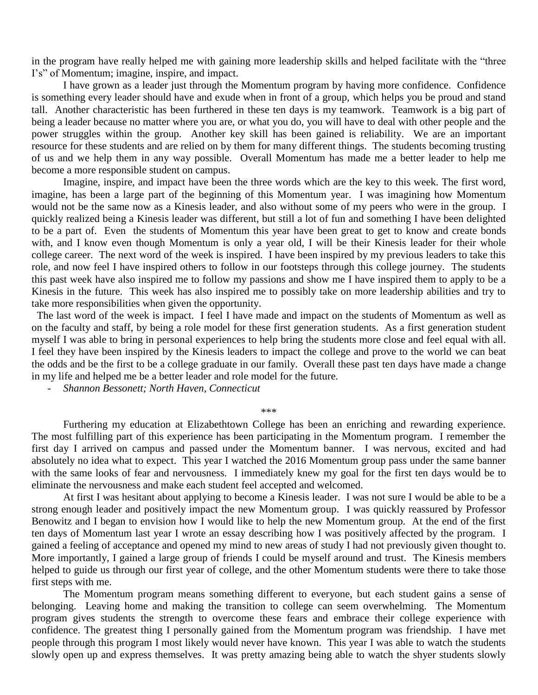in the program have really helped me with gaining more leadership skills and helped facilitate with the "three I's" of Momentum; imagine, inspire, and impact.

I have grown as a leader just through the Momentum program by having more confidence. Confidence is something every leader should have and exude when in front of a group, which helps you be proud and stand tall. Another characteristic has been furthered in these ten days is my teamwork. Teamwork is a big part of being a leader because no matter where you are, or what you do, you will have to deal with other people and the power struggles within the group. Another key skill has been gained is reliability. We are an important resource for these students and are relied on by them for many different things. The students becoming trusting of us and we help them in any way possible. Overall Momentum has made me a better leader to help me become a more responsible student on campus.

Imagine, inspire, and impact have been the three words which are the key to this week. The first word, imagine, has been a large part of the beginning of this Momentum year. I was imagining how Momentum would not be the same now as a Kinesis leader, and also without some of my peers who were in the group. I quickly realized being a Kinesis leader was different, but still a lot of fun and something I have been delighted to be a part of. Even the students of Momentum this year have been great to get to know and create bonds with, and I know even though Momentum is only a year old, I will be their Kinesis leader for their whole college career. The next word of the week is inspired. I have been inspired by my previous leaders to take this role, and now feel I have inspired others to follow in our footsteps through this college journey. The students this past week have also inspired me to follow my passions and show me I have inspired them to apply to be a Kinesis in the future. This week has also inspired me to possibly take on more leadership abilities and try to take more responsibilities when given the opportunity.

 The last word of the week is impact. I feel I have made and impact on the students of Momentum as well as on the faculty and staff, by being a role model for these first generation students. As a first generation student myself I was able to bring in personal experiences to help bring the students more close and feel equal with all. I feel they have been inspired by the Kinesis leaders to impact the college and prove to the world we can beat the odds and be the first to be a college graduate in our family. Overall these past ten days have made a change in my life and helped me be a better leader and role model for the future.

- *Shannon Bessonett; North Haven, Connecticut*

\*\*\*

Furthering my education at Elizabethtown College has been an enriching and rewarding experience. The most fulfilling part of this experience has been participating in the Momentum program. I remember the first day I arrived on campus and passed under the Momentum banner. I was nervous, excited and had absolutely no idea what to expect. This year I watched the 2016 Momentum group pass under the same banner with the same looks of fear and nervousness. I immediately knew my goal for the first ten days would be to eliminate the nervousness and make each student feel accepted and welcomed.

At first I was hesitant about applying to become a Kinesis leader. I was not sure I would be able to be a strong enough leader and positively impact the new Momentum group. I was quickly reassured by Professor Benowitz and I began to envision how I would like to help the new Momentum group. At the end of the first ten days of Momentum last year I wrote an essay describing how I was positively affected by the program. I gained a feeling of acceptance and opened my mind to new areas of study I had not previously given thought to. More importantly, I gained a large group of friends I could be myself around and trust. The Kinesis members helped to guide us through our first year of college, and the other Momentum students were there to take those first steps with me.

The Momentum program means something different to everyone, but each student gains a sense of belonging. Leaving home and making the transition to college can seem overwhelming. The Momentum program gives students the strength to overcome these fears and embrace their college experience with confidence. The greatest thing I personally gained from the Momentum program was friendship. I have met people through this program I most likely would never have known. This year I was able to watch the students slowly open up and express themselves. It was pretty amazing being able to watch the shyer students slowly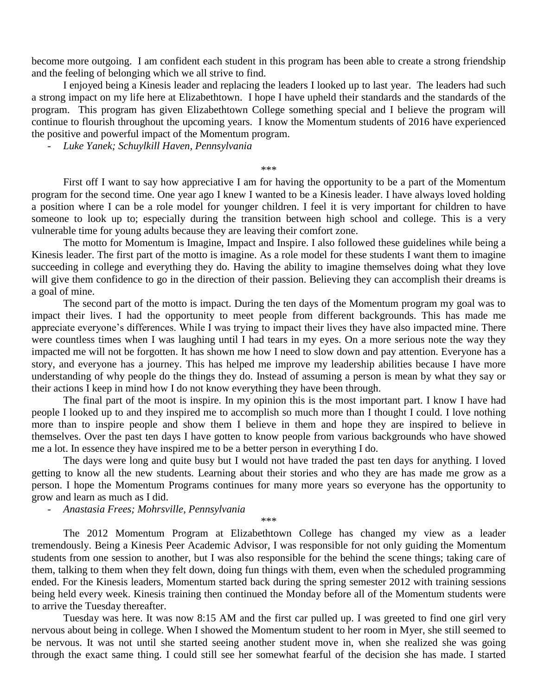become more outgoing. I am confident each student in this program has been able to create a strong friendship and the feeling of belonging which we all strive to find.

I enjoyed being a Kinesis leader and replacing the leaders I looked up to last year. The leaders had such a strong impact on my life here at Elizabethtown. I hope I have upheld their standards and the standards of the program. This program has given Elizabethtown College something special and I believe the program will continue to flourish throughout the upcoming years. I know the Momentum students of 2016 have experienced the positive and powerful impact of the Momentum program.

- *Luke Yanek; Schuylkill Haven, Pennsylvania*

\*\*\*

First off I want to say how appreciative I am for having the opportunity to be a part of the Momentum program for the second time. One year ago I knew I wanted to be a Kinesis leader. I have always loved holding a position where I can be a role model for younger children. I feel it is very important for children to have someone to look up to; especially during the transition between high school and college. This is a very vulnerable time for young adults because they are leaving their comfort zone.

The motto for Momentum is Imagine, Impact and Inspire. I also followed these guidelines while being a Kinesis leader. The first part of the motto is imagine. As a role model for these students I want them to imagine succeeding in college and everything they do. Having the ability to imagine themselves doing what they love will give them confidence to go in the direction of their passion. Believing they can accomplish their dreams is a goal of mine.

The second part of the motto is impact. During the ten days of the Momentum program my goal was to impact their lives. I had the opportunity to meet people from different backgrounds. This has made me appreciate everyone's differences. While I was trying to impact their lives they have also impacted mine. There were countless times when I was laughing until I had tears in my eyes. On a more serious note the way they impacted me will not be forgotten. It has shown me how I need to slow down and pay attention. Everyone has a story, and everyone has a journey. This has helped me improve my leadership abilities because I have more understanding of why people do the things they do. Instead of assuming a person is mean by what they say or their actions I keep in mind how I do not know everything they have been through.

The final part of the moot is inspire. In my opinion this is the most important part. I know I have had people I looked up to and they inspired me to accomplish so much more than I thought I could. I love nothing more than to inspire people and show them I believe in them and hope they are inspired to believe in themselves. Over the past ten days I have gotten to know people from various backgrounds who have showed me a lot. In essence they have inspired me to be a better person in everything I do.

The days were long and quite busy but I would not have traded the past ten days for anything. I loved getting to know all the new students. Learning about their stories and who they are has made me grow as a person. I hope the Momentum Programs continues for many more years so everyone has the opportunity to grow and learn as much as I did.

- *Anastasia Frees; Mohrsville, Pennsylvania*

\*\*\*

The 2012 Momentum Program at Elizabethtown College has changed my view as a leader tremendously. Being a Kinesis Peer Academic Advisor, I was responsible for not only guiding the Momentum students from one session to another, but I was also responsible for the behind the scene things; taking care of them, talking to them when they felt down, doing fun things with them, even when the scheduled programming ended. For the Kinesis leaders, Momentum started back during the spring semester 2012 with training sessions being held every week. Kinesis training then continued the Monday before all of the Momentum students were to arrive the Tuesday thereafter.

Tuesday was here. It was now 8:15 AM and the first car pulled up. I was greeted to find one girl very nervous about being in college. When I showed the Momentum student to her room in Myer, she still seemed to be nervous. It was not until she started seeing another student move in, when she realized she was going through the exact same thing. I could still see her somewhat fearful of the decision she has made. I started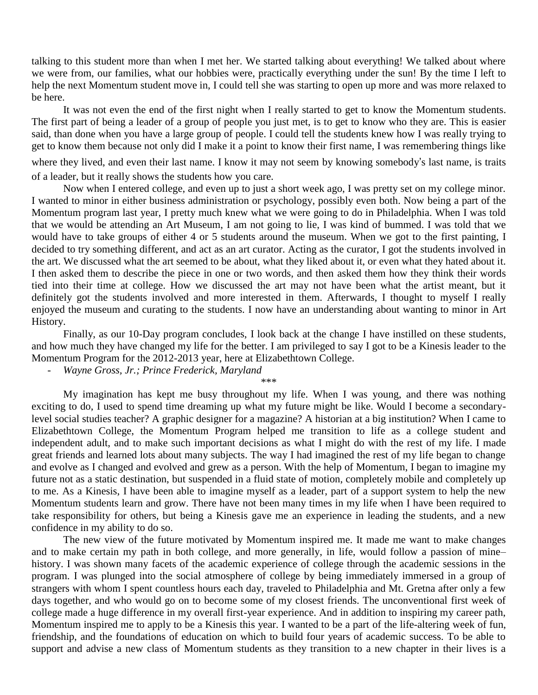talking to this student more than when I met her. We started talking about everything! We talked about where we were from, our families, what our hobbies were, practically everything under the sun! By the time I left to help the next Momentum student move in, I could tell she was starting to open up more and was more relaxed to be here.

It was not even the end of the first night when I really started to get to know the Momentum students. The first part of being a leader of a group of people you just met, is to get to know who they are. This is easier said, than done when you have a large group of people. I could tell the students knew how I was really trying to get to know them because not only did I make it a point to know their first name, I was remembering things like where they lived, and even their last name. I know it may not seem by knowing somebody's last name, is traits of a leader, but it really shows the students how you care.

Now when I entered college, and even up to just a short week ago, I was pretty set on my college minor. I wanted to minor in either business administration or psychology, possibly even both. Now being a part of the Momentum program last year, I pretty much knew what we were going to do in Philadelphia. When I was told that we would be attending an Art Museum, I am not going to lie, I was kind of bummed. I was told that we would have to take groups of either 4 or 5 students around the museum. When we got to the first painting, I decided to try something different, and act as an art curator. Acting as the curator, I got the students involved in the art. We discussed what the art seemed to be about, what they liked about it, or even what they hated about it. I then asked them to describe the piece in one or two words, and then asked them how they think their words tied into their time at college. How we discussed the art may not have been what the artist meant, but it definitely got the students involved and more interested in them. Afterwards, I thought to myself I really enjoyed the museum and curating to the students. I now have an understanding about wanting to minor in Art History.

Finally, as our 10-Day program concludes, I look back at the change I have instilled on these students, and how much they have changed my life for the better. I am privileged to say I got to be a Kinesis leader to the Momentum Program for the 2012-2013 year, here at Elizabethtown College.

- *Wayne Gross, Jr.; Prince Frederick, Maryland*

\*\*\*

My imagination has kept me busy throughout my life. When I was young, and there was nothing exciting to do, I used to spend time dreaming up what my future might be like. Would I become a secondarylevel social studies teacher? A graphic designer for a magazine? A historian at a big institution? When I came to Elizabethtown College, the Momentum Program helped me transition to life as a college student and independent adult, and to make such important decisions as what I might do with the rest of my life. I made great friends and learned lots about many subjects. The way I had imagined the rest of my life began to change and evolve as I changed and evolved and grew as a person. With the help of Momentum, I began to imagine my future not as a static destination, but suspended in a fluid state of motion, completely mobile and completely up to me. As a Kinesis, I have been able to imagine myself as a leader, part of a support system to help the new Momentum students learn and grow. There have not been many times in my life when I have been required to take responsibility for others, but being a Kinesis gave me an experience in leading the students, and a new confidence in my ability to do so.

The new view of the future motivated by Momentum inspired me. It made me want to make changes and to make certain my path in both college, and more generally, in life, would follow a passion of mine– history. I was shown many facets of the academic experience of college through the academic sessions in the program. I was plunged into the social atmosphere of college by being immediately immersed in a group of strangers with whom I spent countless hours each day, traveled to Philadelphia and Mt. Gretna after only a few days together, and who would go on to become some of my closest friends. The unconventional first week of college made a huge difference in my overall first-year experience. And in addition to inspiring my career path, Momentum inspired me to apply to be a Kinesis this year. I wanted to be a part of the life-altering week of fun, friendship, and the foundations of education on which to build four years of academic success. To be able to support and advise a new class of Momentum students as they transition to a new chapter in their lives is a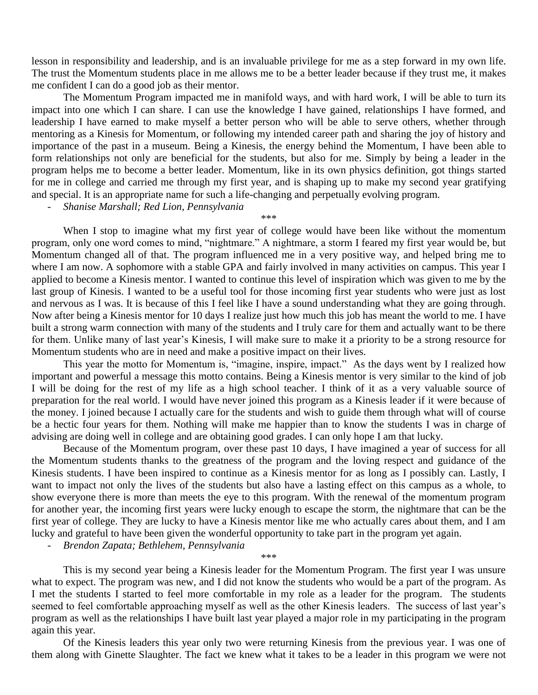lesson in responsibility and leadership, and is an invaluable privilege for me as a step forward in my own life. The trust the Momentum students place in me allows me to be a better leader because if they trust me, it makes me confident I can do a good job as their mentor.

The Momentum Program impacted me in manifold ways, and with hard work, I will be able to turn its impact into one which I can share. I can use the knowledge I have gained, relationships I have formed, and leadership I have earned to make myself a better person who will be able to serve others, whether through mentoring as a Kinesis for Momentum, or following my intended career path and sharing the joy of history and importance of the past in a museum. Being a Kinesis, the energy behind the Momentum, I have been able to form relationships not only are beneficial for the students, but also for me. Simply by being a leader in the program helps me to become a better leader. Momentum, like in its own physics definition, got things started for me in college and carried me through my first year, and is shaping up to make my second year gratifying and special. It is an appropriate name for such a life-changing and perpetually evolving program.

\*\*\*

- *Shanise Marshall; Red Lion, Pennsylvania*

When I stop to imagine what my first year of college would have been like without the momentum program, only one word comes to mind, "nightmare." A nightmare, a storm I feared my first year would be, but Momentum changed all of that. The program influenced me in a very positive way, and helped bring me to where I am now. A sophomore with a stable GPA and fairly involved in many activities on campus. This year I applied to become a Kinesis mentor. I wanted to continue this level of inspiration which was given to me by the last group of Kinesis. I wanted to be a useful tool for those incoming first year students who were just as lost and nervous as I was. It is because of this I feel like I have a sound understanding what they are going through. Now after being a Kinesis mentor for 10 days I realize just how much this job has meant the world to me. I have built a strong warm connection with many of the students and I truly care for them and actually want to be there for them. Unlike many of last year's Kinesis, I will make sure to make it a priority to be a strong resource for Momentum students who are in need and make a positive impact on their lives.

This year the motto for Momentum is, "imagine, inspire, impact." As the days went by I realized how important and powerful a message this motto contains. Being a Kinesis mentor is very similar to the kind of job I will be doing for the rest of my life as a high school teacher. I think of it as a very valuable source of preparation for the real world. I would have never joined this program as a Kinesis leader if it were because of the money. I joined because I actually care for the students and wish to guide them through what will of course be a hectic four years for them. Nothing will make me happier than to know the students I was in charge of advising are doing well in college and are obtaining good grades. I can only hope I am that lucky.

Because of the Momentum program, over these past 10 days, I have imagined a year of success for all the Momentum students thanks to the greatness of the program and the loving respect and guidance of the Kinesis students. I have been inspired to continue as a Kinesis mentor for as long as I possibly can. Lastly, I want to impact not only the lives of the students but also have a lasting effect on this campus as a whole, to show everyone there is more than meets the eye to this program. With the renewal of the momentum program for another year, the incoming first years were lucky enough to escape the storm, the nightmare that can be the first year of college. They are lucky to have a Kinesis mentor like me who actually cares about them, and I am lucky and grateful to have been given the wonderful opportunity to take part in the program yet again.

- *Brendon Zapata; Bethlehem, Pennsylvania*

\*\*\*

This is my second year being a Kinesis leader for the Momentum Program. The first year I was unsure what to expect. The program was new, and I did not know the students who would be a part of the program. As I met the students I started to feel more comfortable in my role as a leader for the program. The students seemed to feel comfortable approaching myself as well as the other Kinesis leaders. The success of last year's program as well as the relationships I have built last year played a major role in my participating in the program again this year.

Of the Kinesis leaders this year only two were returning Kinesis from the previous year. I was one of them along with Ginette Slaughter. The fact we knew what it takes to be a leader in this program we were not